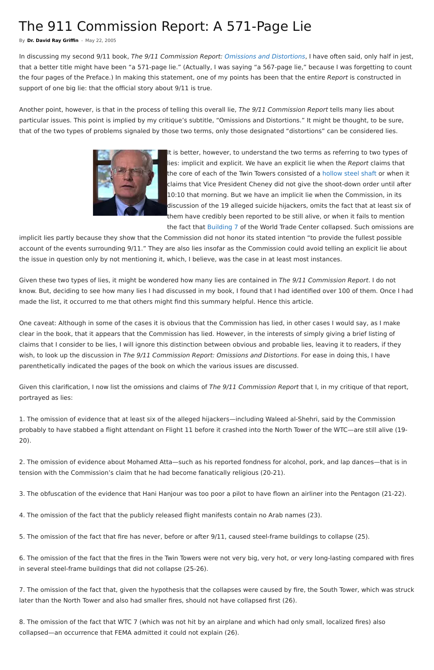## The 911 Commission Report: A 571-Page Lie

In discussing my second 9/11 book, The 9/11 Commission Report: [Omissions and Distortions](https://911truth.org/significant-pattern-911-reports-omissions-distortions/), I have often said, only half in jest, that a better title might have been "a 571-page lie." (Actually, I was saying "a 567-page lie," because I was forgetting to count the four pages of the Preface.) In making this statement, one of my points has been that the entire Report is constructed in support of one big lie: that the official story about 9/11 is true.

Another point, however, is that in the process of telling this overall lie, The 9/11 Commission Report tells many lies about particular issues. This point is implied by my critique's subtitle, "Omissions and Distortions." It might be thought, to be sure, that of the two types of problems signaled by those two terms, only those designated "distortions" can be considered lies.



It is better, however, to understand the two terms as referring to two types of lies: implicit and explicit. We have an explicit lie when the Report claims that the core of each of the Twin Towers consisted of a [hollow steel shaft](https://911truth.org/independent-investigators-release-suppressed-blueprints-of-destroyed-world-trade-center-tower/) or when it claims that Vice President Cheney did not give the shoot-down order until after 10:10 that morning. But we have an implicit lie when the Commission, in its discussion of the 19 alleged suicide hijackers, omits the fact that at least six of them have credibly been reported to be still alive, or when it fails to mention the fact that [Building 7](https://911truth.org/nist-releases-final-wtc-7-investigation-report/) of the World Trade Center collapsed. Such omissions are

Given this clarification, I now list the omissions and claims of The 9/11 Commission Report that I, in my critique of that report, portrayed as lies:

implicit lies partly because they show that the Commission did not honor its stated intention "to provide the fullest possible account of the events surrounding 9/11." They are also lies insofar as the Commission could avoid telling an explicit lie about the issue in question only by not mentioning it, which, I believe, was the case in at least most instances.

Given these two types of lies, it might be wondered how many lies are contained in The 9/11 Commission Report. I do not know. But, deciding to see how many lies I had discussed in my book, I found that I had identified over 100 of them. Once I had made the list, it occurred to me that others might find this summary helpful. Hence this article.

One caveat: Although in some of the cases it is obvious that the Commission has lied, in other cases I would say, as I make clear in the book, that it appears that the Commission has lied. However, in the interests of simply giving a brief listing of claims that I consider to be lies, I will ignore this distinction between obvious and probable lies, leaving it to readers, if they wish, to look up the discussion in The 9/11 Commission Report: Omissions and Distortions. For ease in doing this, I have parenthetically indicated the pages of the book on which the various issues are discussed.

1. The omission of evidence that at least six of the alleged hijackers—including Waleed al-Shehri, said by the Commission probably to have stabbed a flight attendant on Flight 11 before it crashed into the North Tower of the WTC—are still alive (19- 20).

2. The omission of evidence about Mohamed Atta—such as his reported fondness for alcohol, pork, and lap dances—that is in tension with the Commission's claim that he had become fanatically religious (20-21).

3. The obfuscation of the evidence that Hani Hanjour was too poor a pilot to have flown an airliner into the Pentagon (21-22).

4. The omission of the fact that the publicly released flight manifests contain no Arab names (23).

5. The omission of the fact that fire has never, before or after 9/11, caused steel-frame buildings to collapse (25).

6. The omission of the fact that the fires in the Twin Towers were not very big, very hot, or very long-lasting compared with fires in several steel-frame buildings that did not collapse (25-26).

7. The omission of the fact that, given the hypothesis that the collapses were caused by fire, the South Tower, which was struck later than the North Tower and also had smaller fires, should not have collapsed first (26).

8. The omission of the fact that WTC 7 (which was not hit by an airplane and which had only small, localized fires) also collapsed—an occurrence that FEMA admitted it could not explain (26).

By **[Dr. David Ray Griffin](https://911truth.org/author/drg/)** - May 22, 2005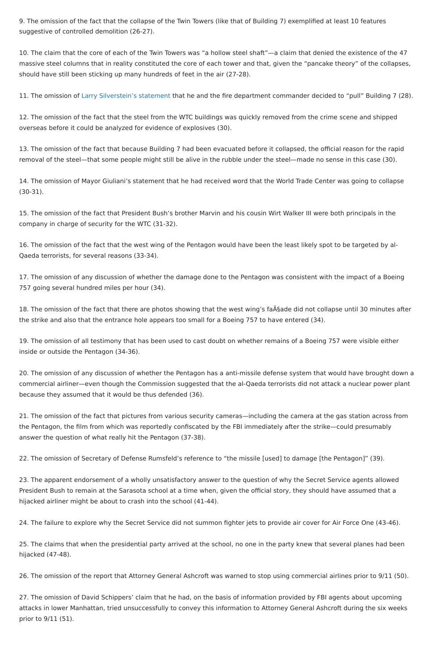9. The omission of the fact that the collapse of the Twin Towers (like that of Building 7) exemplified at least 10 features suggestive of controlled demolition (26-27).

10. The claim that the core of each of the Twin Towers was "a hollow steel shaft"—a claim that denied the existence of the 47 massive steel columns that in reality constituted the core of each tower and that, given the "pancake theory" of the collapses, should have still been sticking up many hundreds of feet in the air (27-28).

11. The omission of [Larry Silverstein's statement](https://911truth.org/destruction-of-the-world-trade-center-why-the-official-account-cannot-be-true/) that he and the fire department commander decided to "pull" Building 7 (28).

12. The omission of the fact that the steel from the WTC buildings was quickly removed from the crime scene and shipped overseas before it could be analyzed for evidence of explosives (30).

13. The omission of the fact that because Building 7 had been evacuated before it collapsed, the official reason for the rapid removal of the steel—that some people might still be alive in the rubble under the steel—made no sense in this case (30).

18. The omission of the fact that there are photos showing that the west wing's fa $\tilde{A}$ §ade did not collapse until 30 minutes after the strike and also that the entrance hole appears too small for a Boeing 757 to have entered (34).

14. The omission of Mayor Giuliani's statement that he had received word that the World Trade Center was going to collapse (30-31).

15. The omission of the fact that President Bush's brother Marvin and his cousin Wirt Walker III were both principals in the company in charge of security for the WTC (31-32).

16. The omission of the fact that the west wing of the Pentagon would have been the least likely spot to be targeted by al-Qaeda terrorists, for several reasons (33-34).

17. The omission of any discussion of whether the damage done to the Pentagon was consistent with the impact of a Boeing 757 going several hundred miles per hour (34).

19. The omission of all testimony that has been used to cast doubt on whether remains of a Boeing 757 were visible either inside or outside the Pentagon (34-36).

20. The omission of any discussion of whether the Pentagon has a anti-missile defense system that would have brought down a commercial airliner—even though the Commission suggested that the al-Qaeda terrorists did not attack a nuclear power plant because they assumed that it would be thus defended (36).

21. The omission of the fact that pictures from various security cameras—including the camera at the gas station across from the Pentagon, the film from which was reportedly confiscated by the FBI immediately after the strike—could presumably answer the question of what really hit the Pentagon (37-38).

22. The omission of Secretary of Defense Rumsfeld's reference to "the missile [used] to damage [the Pentagon]" (39).

23. The apparent endorsement of a wholly unsatisfactory answer to the question of why the Secret Service agents allowed President Bush to remain at the Sarasota school at a time when, given the official story, they should have assumed that a hijacked airliner might be about to crash into the school (41-44).

24. The failure to explore why the Secret Service did not summon fighter jets to provide air cover for Air Force One (43-46).

25. The claims that when the presidential party arrived at the school, no one in the party knew that several planes had been hijacked (47-48).

26. The omission of the report that Attorney General Ashcroft was warned to stop using commercial airlines prior to 9/11 (50).

27. The omission of David Schippers' claim that he had, on the basis of information provided by FBI agents about upcoming attacks in lower Manhattan, tried unsuccessfully to convey this information to Attorney General Ashcroft during the six weeks prior to 9/11 (51).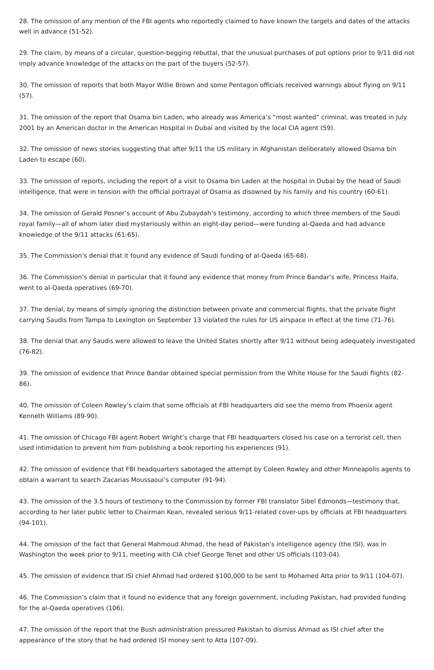28. The omission of any mention of the FBI agents who reportedly claimed to have known the targets and dates of the attacks well in advance (51-52).

29. The claim, by means of a circular, question-begging rebuttal, that the unusual purchases of put options prior to 9/11 did not imply advance knowledge of the attacks on the part of the buyers (52-57).

30. The omission of reports that both Mayor Willie Brown and some Pentagon officials received warnings about flying on 9/11 (57).

31. The omission of the report that Osama bin Laden, who already was America's "most wanted" criminal, was treated in July 2001 by an American doctor in the American Hospital in Dubai and visited by the local CIA agent (59).

32. The omission of news stories suggesting that after 9/11 the US military in Afghanistan deliberately allowed Osama bin Laden to escape (60).

33. The omission of reports, including the report of a visit to Osama bin Laden at the hospital in Dubai by the head of Saudi intelligence, that were in tension with the official portrayal of Osama as disowned by his family and his country (60-61).

34. The omission of Gerald Posner's account of Abu Zubaydah's testimony, according to which three members of the Saudi royal family—all of whom later died mysteriously within an eight-day period—were funding al-Qaeda and had advance knowledge of the 9/11 attacks (61-65).

35. The Commission's denial that it found any evidence of Saudi funding of al-Qaeda (65-68).

36. The Commission's denial in particular that it found any evidence that money from Prince Bandar's wife, Princess Haifa, went to al-Qaeda operatives (69-70).

37. The denial, by means of simply ignoring the distinction between private and commercial flights, that the private flight carrying Saudis from Tampa to Lexington on September 13 violated the rules for US airspace in effect at the time (71-76).

38. The denial that any Saudis were allowed to leave the United States shortly after 9/11 without being adequately investigated (76-82).

39. The omission of evidence that Prince Bandar obtained special permission from the White House for the Saudi flights (82- 86).

40. The omission of Coleen Rowley's claim that some officials at FBI headquarters did see the memo from Phoenix agent Kenneth Williams (89-90).

41. The omission of Chicago FBI agent Robert Wright's charge that FBI headquarters closed his case on a terrorist cell, then used intimidation to prevent him from publishing a book reporting his experiences (91).

42. The omission of evidence that FBI headquarters sabotaged the attempt by Coleen Rowley and other Minneapolis agents to obtain a warrant to search Zacarias Moussaoui's computer (91-94).

43. The omission of the 3.5 hours of testimony to the Commission by former FBI translator Sibel Edmonds—testimony that, according to her later public letter to Chairman Kean, revealed serious 9/11-related cover-ups by officials at FBI headquarters (94-101).

44. The omission of the fact that General Mahmoud Ahmad, the head of Pakistan's intelligence agency (the ISI), was in Washington the week prior to 9/11, meeting with CIA chief George Tenet and other US officials (103-04).

45. The omission of evidence that ISI chief Ahmad had ordered \$100,000 to be sent to Mohamed Atta prior to 9/11 (104-07).

46. The Commission's claim that it found no evidence that any foreign government, including Pakistan, had provided funding for the al-Qaeda operatives (106).

47. The omission of the report that the Bush administration pressured Pakistan to dismiss Ahmad as ISI chief after the appearance of the story that he had ordered ISI money sent to Atta (107-09).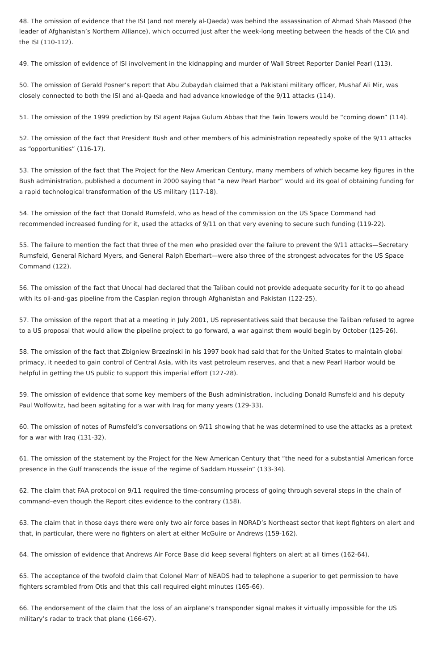48. The omission of evidence that the ISI (and not merely al-Qaeda) was behind the assassination of Ahmad Shah Masood (the leader of Afghanistan's Northern Alliance), which occurred just after the week-long meeting between the heads of the CIA and the ISI (110-112).

49. The omission of evidence of ISI involvement in the kidnapping and murder of Wall Street Reporter Daniel Pearl (113).

50. The omission of Gerald Posner's report that Abu Zubaydah claimed that a Pakistani military officer, Mushaf Ali Mir, was closely connected to both the ISI and al-Qaeda and had advance knowledge of the 9/11 attacks (114).

51. The omission of the 1999 prediction by ISI agent Rajaa Gulum Abbas that the Twin Towers would be "coming down" (114).

52. The omission of the fact that President Bush and other members of his administration repeatedly spoke of the 9/11 attacks as "opportunities" (116-17).

53. The omission of the fact that The Project for the New American Century, many members of which became key figures in the Bush administration, published a document in 2000 saying that "a new Pearl Harbor" would aid its goal of obtaining funding for a rapid technological transformation of the US military (117-18).

54. The omission of the fact that Donald Rumsfeld, who as head of the commission on the US Space Command had recommended increased funding for it, used the attacks of 9/11 on that very evening to secure such funding (119-22).

55. The failure to mention the fact that three of the men who presided over the failure to prevent the 9/11 attacks—Secretary Rumsfeld, General Richard Myers, and General Ralph Eberhart—were also three of the strongest advocates for the US Space Command (122).

56. The omission of the fact that Unocal had declared that the Taliban could not provide adequate security for it to go ahead with its oil-and-gas pipeline from the Caspian region through Afghanistan and Pakistan (122-25).

57. The omission of the report that at a meeting in July 2001, US representatives said that because the Taliban refused to agree to a US proposal that would allow the pipeline project to go forward, a war against them would begin by October (125-26).

58. The omission of the fact that Zbigniew Brzezinski in his 1997 book had said that for the United States to maintain global primacy, it needed to gain control of Central Asia, with its vast petroleum reserves, and that a new Pearl Harbor would be helpful in getting the US public to support this imperial effort (127-28).

59. The omission of evidence that some key members of the Bush administration, including Donald Rumsfeld and his deputy Paul Wolfowitz, had been agitating for a war with Iraq for many years (129-33).

60. The omission of notes of Rumsfeld's conversations on 9/11 showing that he was determined to use the attacks as a pretext for a war with Iraq (131-32).

61. The omission of the statement by the Project for the New American Century that "the need for a substantial American force presence in the Gulf transcends the issue of the regime of Saddam Hussein" (133-34).

62. The claim that FAA protocol on 9/11 required the time-consuming process of going through several steps in the chain of

command–even though the Report cites evidence to the contrary (158).

63. The claim that in those days there were only two air force bases in NORAD's Northeast sector that kept fighters on alert and that, in particular, there were no fighters on alert at either McGuire or Andrews (159-162).

64. The omission of evidence that Andrews Air Force Base did keep several fighters on alert at all times (162-64).

65. The acceptance of the twofold claim that Colonel Marr of NEADS had to telephone a superior to get permission to have fighters scrambled from Otis and that this call required eight minutes (165-66).

66. The endorsement of the claim that the loss of an airplane's transponder signal makes it virtually impossible for the US military's radar to track that plane (166-67).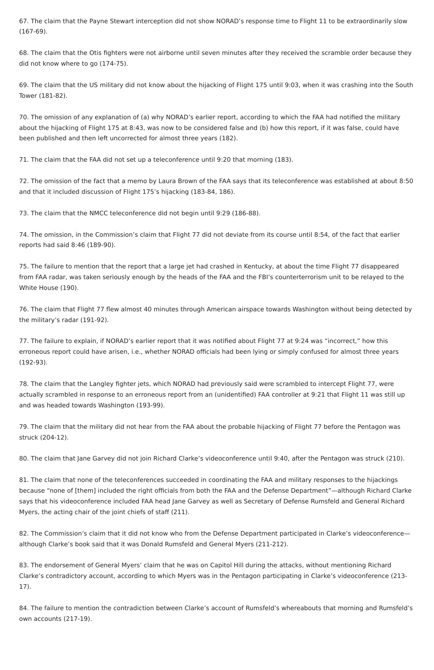67. The claim that the Payne Stewart interception did not show NORAD's response time to Flight 11 to be extraordinarily slow (167-69).

68. The claim that the Otis fighters were not airborne until seven minutes after they received the scramble order because they did not know where to go (174-75).

69. The claim that the US military did not know about the hijacking of Flight 175 until 9:03, when it was crashing into the South Tower (181-82).

70. The omission of any explanation of (a) why NORAD's earlier report, according to which the FAA had notified the military about the hijacking of Flight 175 at 8:43, was now to be considered false and (b) how this report, if it was false, could have been published and then left uncorrected for almost three years (182).

71. The claim that the FAA did not set up a teleconference until 9:20 that morning (183).

72. The omission of the fact that a memo by Laura Brown of the FAA says that its teleconference was established at about 8:50 and that it included discussion of Flight 175's hijacking (183-84, 186).

73. The claim that the NMCC teleconference did not begin until 9:29 (186-88).

74. The omission, in the Commission's claim that Flight 77 did not deviate from its course until 8:54, of the fact that earlier reports had said 8:46 (189-90).

75. The failure to mention that the report that a large jet had crashed in Kentucky, at about the time Flight 77 disappeared from FAA radar, was taken seriously enough by the heads of the FAA and the FBI's counterterrorism unit to be relayed to the White House (190).

76. The claim that Flight 77 flew almost 40 minutes through American airspace towards Washington without being detected by the military's radar (191-92).

77. The failure to explain, if NORAD's earlier report that it was notified about Flight 77 at 9:24 was "incorrect," how this erroneous report could have arisen, i.e., whether NORAD officials had been lying or simply confused for almost three years (192-93).

78. The claim that the Langley fighter jets, which NORAD had previously said were scrambled to intercept Flight 77, were actually scrambled in response to an erroneous report from an (unidentified) FAA controller at 9:21 that Flight 11 was still up and was headed towards Washington (193-99).

79. The claim that the military did not hear from the FAA about the probable hijacking of Flight 77 before the Pentagon was struck (204-12).

80. The claim that Jane Garvey did not join Richard Clarke's videoconference until 9:40, after the Pentagon was struck (210).

81. The claim that none of the teleconferences succeeded in coordinating the FAA and military responses to the hijackings because "none of [them] included the right officials from both the FAA and the Defense Department"—although Richard Clarke says that his videoconference included FAA head Jane Garvey as well as Secretary of Defense Rumsfeld and General Richard Myers, the acting chair of the joint chiefs of staff (211).

82. The Commission's claim that it did not know who from the Defense Department participated in Clarke's videoconference although Clarke's book said that it was Donald Rumsfeld and General Myers (211-212).

83. The endorsement of General Myers' claim that he was on Capitol Hill during the attacks, without mentioning Richard Clarke's contradictory account, according to which Myers was in the Pentagon participating in Clarke's videoconference (213- 17).

84. The failure to mention the contradiction between Clarke's account of Rumsfeld's whereabouts that morning and Rumsfeld's own accounts (217-19).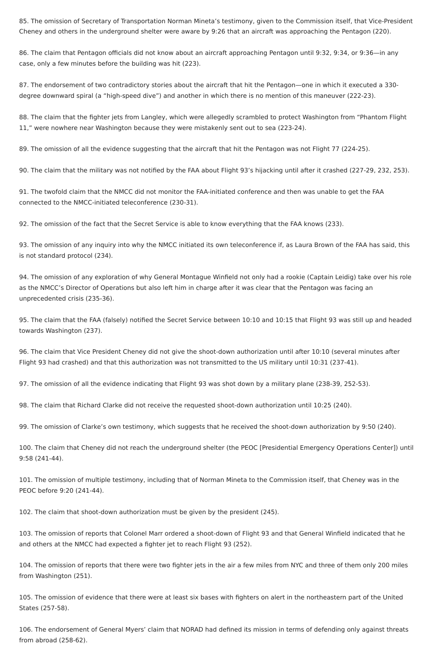85. The omission of Secretary of Transportation Norman Mineta's testimony, given to the Commission itself, that Vice-President Cheney and others in the underground shelter were aware by 9:26 that an aircraft was approaching the Pentagon (220).

86. The claim that Pentagon officials did not know about an aircraft approaching Pentagon until 9:32, 9:34, or 9:36—in any case, only a few minutes before the building was hit (223).

87. The endorsement of two contradictory stories about the aircraft that hit the Pentagon—one in which it executed a 330 degree downward spiral (a "high-speed dive") and another in which there is no mention of this maneuver (222-23).

88. The claim that the fighter jets from Langley, which were allegedly scrambled to protect Washington from "Phantom Flight 11," were nowhere near Washington because they were mistakenly sent out to sea (223-24).

89. The omission of all the evidence suggesting that the aircraft that hit the Pentagon was not Flight 77 (224-25).

90. The claim that the military was not notified by the FAA about Flight 93's hijacking until after it crashed (227-29, 232, 253).

91. The twofold claim that the NMCC did not monitor the FAA-initiated conference and then was unable to get the FAA connected to the NMCC-initiated teleconference (230-31).

92. The omission of the fact that the Secret Service is able to know everything that the FAA knows (233).

93. The omission of any inquiry into why the NMCC initiated its own teleconference if, as Laura Brown of the FAA has said, this is not standard protocol (234).

94. The omission of any exploration of why General Montague Winfield not only had a rookie (Captain Leidig) take over his role as the NMCC's Director of Operations but also left him in charge after it was clear that the Pentagon was facing an unprecedented crisis (235-36).

95. The claim that the FAA (falsely) notified the Secret Service between 10:10 and 10:15 that Flight 93 was still up and headed towards Washington (237).

96. The claim that Vice President Cheney did not give the shoot-down authorization until after 10:10 (several minutes after Flight 93 had crashed) and that this authorization was not transmitted to the US military until 10:31 (237-41).

97. The omission of all the evidence indicating that Flight 93 was shot down by a military plane (238-39, 252-53).

98. The claim that Richard Clarke did not receive the requested shoot-down authorization until 10:25 (240).

99. The omission of Clarke's own testimony, which suggests that he received the shoot-down authorization by 9:50 (240).

100. The claim that Cheney did not reach the underground shelter (the PEOC [Presidential Emergency Operations Center]) until 9:58 (241-44).

101. The omission of multiple testimony, including that of Norman Mineta to the Commission itself, that Cheney was in the PEOC before 9:20 (241-44).

102. The claim that shoot-down authorization must be given by the president (245).

103. The omission of reports that Colonel Marr ordered a shoot-down of Flight 93 and that General Winfield indicated that he and others at the NMCC had expected a fighter jet to reach Flight 93 (252).

104. The omission of reports that there were two fighter jets in the air a few miles from NYC and three of them only 200 miles from Washington (251).

105. The omission of evidence that there were at least six bases with fighters on alert in the northeastern part of the United States (257-58).

106. The endorsement of General Myers' claim that NORAD had defined its mission in terms of defending only against threats from abroad (258-62).